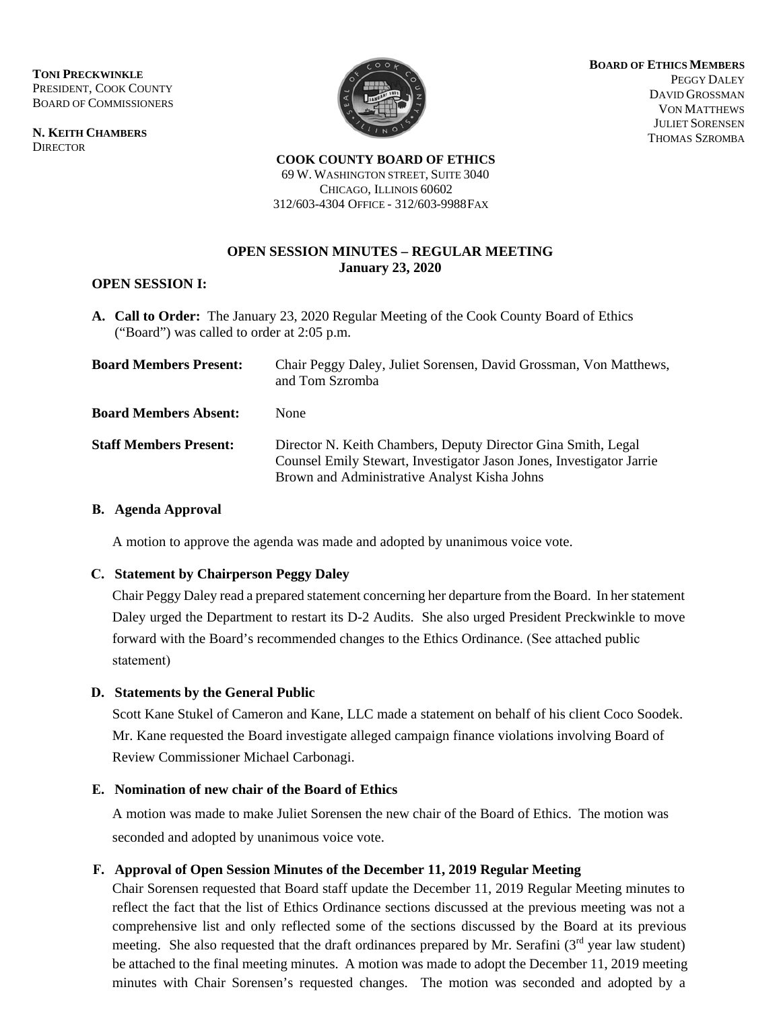**TONI PRECKWINKLE** PRESIDENT, COOK COUNTY BOARD OF COMMISSIONERS

**N. KEITH CHAMBERS DIRECTOR** 



**BOARD OF ETHICS MEMBERS** PEGGY DALEY DAVID GROSSMAN VON MATTHEWS JULIET SORENSEN THOMAS SZROMBA

**COOK COUNTY BOARD OF ETHICS** 69 W. WASHINGTON STREET, SUITE 3040 CHICAGO, ILLINOIS 60602 312/603-4304 OFFICE - 312/603-9988 FAX

## **OPEN SESSION MINUTES – REGULAR MEETING January 23, 2020**

## **OPEN SESSION I:**

**A. Call to Order:** The January 23, 2020 Regular Meeting of the Cook County Board of Ethics ("Board") was called to order at 2:05 p.m.

| <b>Board Members Present:</b> | Chair Peggy Daley, Juliet Sorensen, David Grossman, Von Matthews,<br>and Tom Szromba                                                                                                  |
|-------------------------------|---------------------------------------------------------------------------------------------------------------------------------------------------------------------------------------|
| <b>Board Members Absent:</b>  | None                                                                                                                                                                                  |
| <b>Staff Members Present:</b> | Director N. Keith Chambers, Deputy Director Gina Smith, Legal<br>Counsel Emily Stewart, Investigator Jason Jones, Investigator Jarrie<br>Brown and Administrative Analyst Kisha Johns |

### **B. Agenda Approval**

A motion to approve the agenda was made and adopted by unanimous voice vote.

## **C. Statement by Chairperson Peggy Daley**

Chair Peggy Daley read a prepared statement concerning her departure from the Board. In her statement Daley urged the Department to restart its D-2 Audits. She also urged President Preckwinkle to move forward with the Board's recommended changes to the Ethics Ordinance. (See attached public statement)

## **D. Statements by the General Public**

Scott Kane Stukel of Cameron and Kane, LLC made a statement on behalf of his client Coco Soodek. Mr. Kane requested the Board investigate alleged campaign finance violations involving Board of Review Commissioner Michael Carbonagi.

## **E. Nomination of new chair of the Board of Ethics**

A motion was made to make Juliet Sorensen the new chair of the Board of Ethics. The motion was seconded and adopted by unanimous voice vote.

## **F. Approval of Open Session Minutes of the December 11, 2019 Regular Meeting**

Chair Sorensen requested that Board staff update the December 11, 2019 Regular Meeting minutes to reflect the fact that the list of Ethics Ordinance sections discussed at the previous meeting was not a comprehensive list and only reflected some of the sections discussed by the Board at its previous meeting. She also requested that the draft ordinances prepared by Mr. Serafini (3<sup>rd</sup> year law student) be attached to the final meeting minutes. A motion was made to adopt the December 11, 2019 meeting minutes with Chair Sorensen's requested changes. The motion was seconded and adopted by a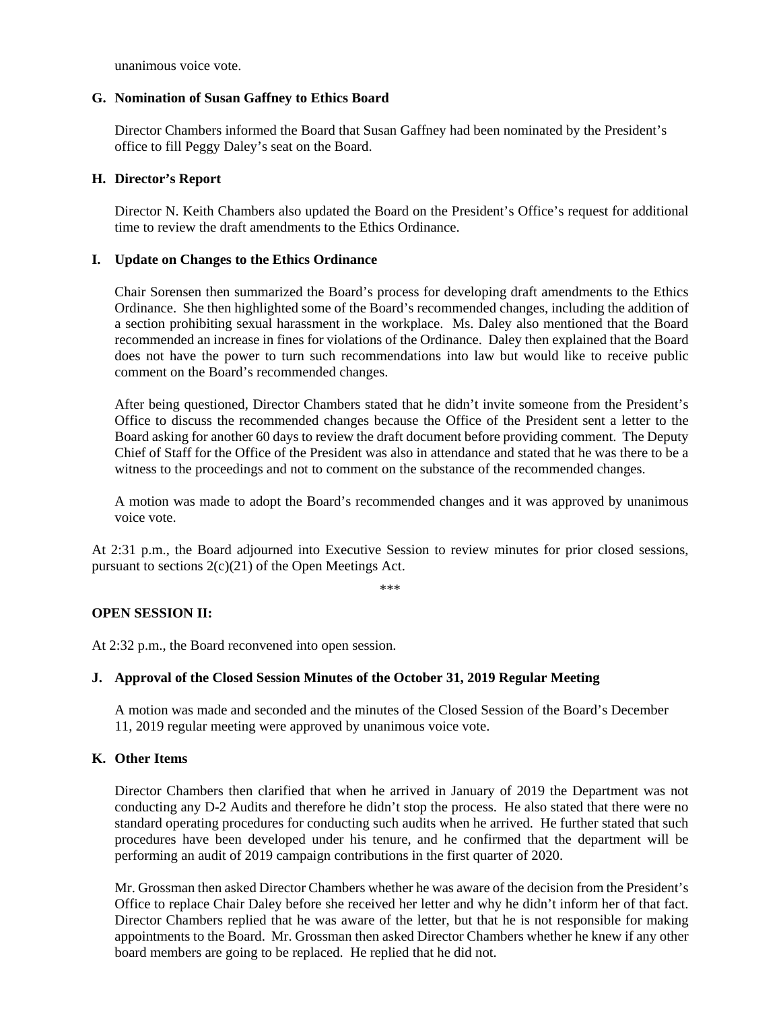unanimous voice vote.

#### **G. Nomination of Susan Gaffney to Ethics Board**

Director Chambers informed the Board that Susan Gaffney had been nominated by the President's office to fill Peggy Daley's seat on the Board.

#### **H. Director's Report**

Director N. Keith Chambers also updated the Board on the President's Office's request for additional time to review the draft amendments to the Ethics Ordinance.

#### **I. Update on Changes to the Ethics Ordinance**

Chair Sorensen then summarized the Board's process for developing draft amendments to the Ethics Ordinance. She then highlighted some of the Board's recommended changes, including the addition of a section prohibiting sexual harassment in the workplace. Ms. Daley also mentioned that the Board recommended an increase in fines for violations of the Ordinance. Daley then explained that the Board does not have the power to turn such recommendations into law but would like to receive public comment on the Board's recommended changes.

After being questioned, Director Chambers stated that he didn't invite someone from the President's Office to discuss the recommended changes because the Office of the President sent a letter to the Board asking for another 60 days to review the draft document before providing comment. The Deputy Chief of Staff for the Office of the President was also in attendance and stated that he was there to be a witness to the proceedings and not to comment on the substance of the recommended changes.

A motion was made to adopt the Board's recommended changes and it was approved by unanimous voice vote.

At 2:31 p.m., the Board adjourned into Executive Session to review minutes for prior closed sessions, pursuant to sections 2(c)(21) of the Open Meetings Act.

\*\*\*

## **OPEN SESSION II:**

At 2:32 p.m., the Board reconvened into open session.

## **J. Approval of the Closed Session Minutes of the October 31, 2019 Regular Meeting**

A motion was made and seconded and the minutes of the Closed Session of the Board's December 11, 2019 regular meeting were approved by unanimous voice vote.

## **K. Other Items**

Director Chambers then clarified that when he arrived in January of 2019 the Department was not conducting any D-2 Audits and therefore he didn't stop the process. He also stated that there were no standard operating procedures for conducting such audits when he arrived. He further stated that such procedures have been developed under his tenure, and he confirmed that the department will be performing an audit of 2019 campaign contributions in the first quarter of 2020.

Mr. Grossman then asked Director Chambers whether he was aware of the decision from the President's Office to replace Chair Daley before she received her letter and why he didn't inform her of that fact. Director Chambers replied that he was aware of the letter, but that he is not responsible for making appointments to the Board. Mr. Grossman then asked Director Chambers whether he knew if any other board members are going to be replaced. He replied that he did not.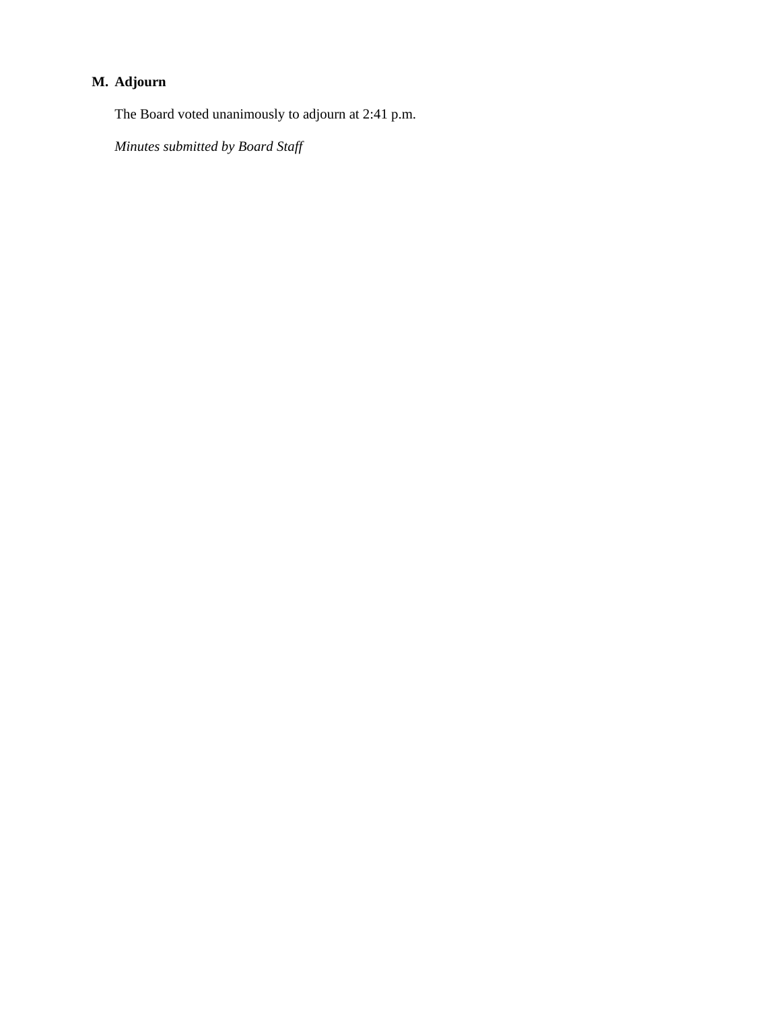# **M. Adjourn**

The Board voted unanimously to adjourn at 2:41 p.m.

*Minutes submitted by Board Staff*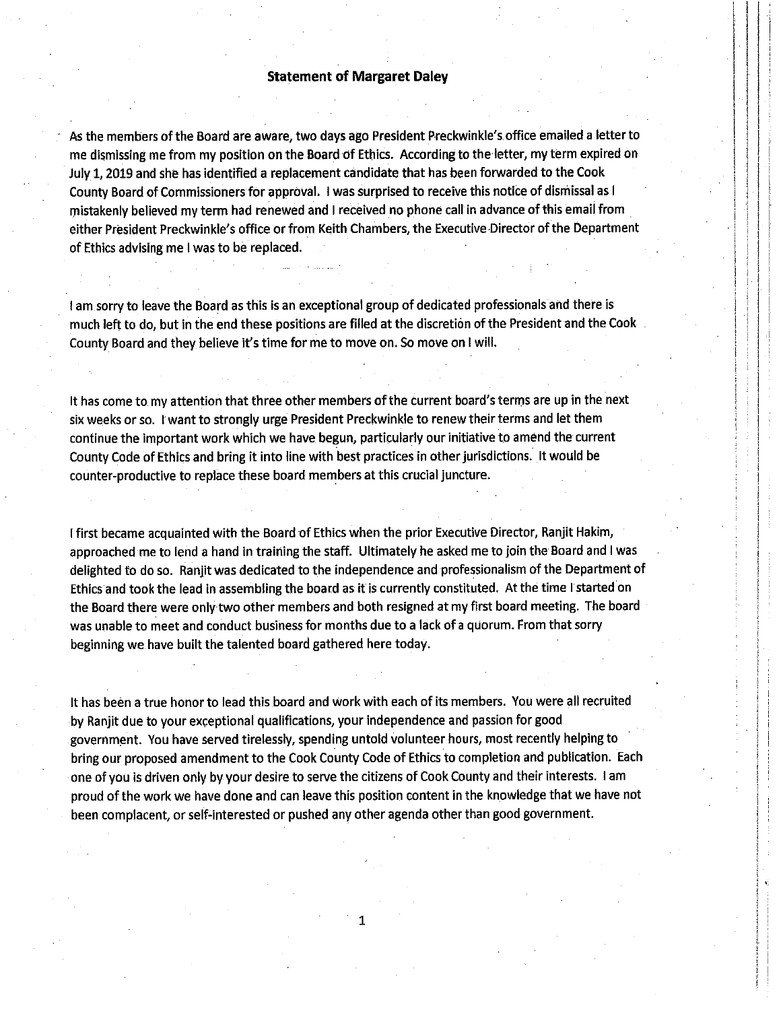#### **Statement of Margaret Daley**

As the members of the Board are aware, two days ago President Preckwinkle's office emailed a letter to me dismissing me from my position on the Board of Ethics. According to the letter, my term expired on July 1, 2019 and she has identified a replacement candidate that has been forwarded to the Cook County Board of Commissioners for approval. I was surprised to receive this notice of dismissal as I mistakenly believed my term had renewed and I received no phone call in advance of this email from either President Preckwinkle's office or from Keith Chambers, the Executive Director of the Department of Ethics advising me I was to be replaced.

I am sorry to leave the Board as this is an exceptional group of dedicated professionals and there is much left to do, but in the end these positions are filled at the discretion of the President and the Cook County Board and they believe it's time for me to move on. So move on I will.

It has come to my attention that three other members of the current board's terms are up in the next six weeks or so. I want to strongly urge President Preckwinkle to renew their terms and let them continue the important work which we have begun, particularly our initiative to amend the current County Code of Ethics and bring it into line with best practices in other jurisdictions. It would be counter-productive to replace these board members at this crucial juncture.

I first became acquainted with the Board of Ethics when the prior Executive Director, Ranjit Hakim, approached me to lend a hand in training the staff. Ultimately he asked me to join the Board and I was delighted to do so. Ranjit was dedicated to the independence and professionalism of the Department of Ethics and took the lead in assembling the board as it is currently constituted. At the time I started on the Board there were only two other members and both resigned at my first board meeting. The board was unable to meet and conduct business for months due to a lack of a quorum. From that sorry beginning we have built the talented board gathered here today.

It has been a true honor to lead this board and work with each of its members. You were all recruited by Ranjit due to your exceptional qualifications, your independence and passion for good government. You have served tirelessly, spending untold volunteer hours, most recently helping to bring our proposed amendment to the Cook County Code of Ethics to completion and publication. Each one of you is driven only by your desire to serve the citizens of Cook County and their interests. I am proud of the work we have done and can leave this position content in the knowledge that we have not been complacent, or self-interested or pushed any other agenda other than good government.

1